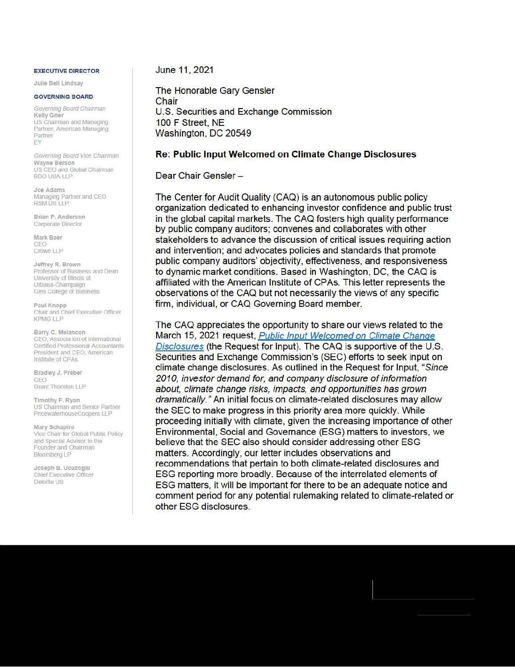#### **EXECUTIVE DIRECTOR**

**Julie Bell Lindsay** 

#### **GOVERNING BOARD**

Governing Board Chairman **Kelly Grier**  US Chairman and Managing Partner, Americas Managing Partner EY

Governing Board Vice Chairman **Wayne Berson**  US CEO and Global Chainnan BOO USA LLP

**Joe Adams**  Managing Partner and CEO RSM US LLP

**Brian P. Anderson**  Corporate Director

**Mark Baer**  CEO CroweLLP

**Jeffrey R. Brown**  Professor of Business and Dean University of Illinois at Urbana-Champaign Gies College of Business

**Paul Knopp**  Chair and Chief Executive Officer KPMG LLP

**Barry C. Melancon**  CEO, Associa ion of International Certified Professional Accountants President and CEO, American Institute of CPAs

**Bradley** J. **Preber**  CEO Grant Thornton LLP

**Timothy** F. **Ryan**  US Chairman and Senior Partner PricewaterhouseCoopers LLP

**Mary Schapiro**  Vice Chair for Global Public Policy and Special Advisor to the Founder and Chairman Bloomberg LP

**Joseph B. ucuzoglu**  Chief Executive Officer Deloitte US

June 11 , 2021

The Honorable Gary Gensler **Chair** U.S. Securities and Exchange Commission 100 F Street, NE Washington, DC 20549

#### **Re: Public Input Welcomed on Climate Change Disclosures**

#### Dear Chair Gensler -

The Center for Audit Quality (CAQ) is an autonomous public policy organization dedicated to enhancing investor confidence and public trust in the global capital markets. The CAQ fosters high quality performance by public company auditors; convenes and collaborates with other stakeholders to advance the discussion of critical issues requiring action and intervention; and advocates policies and standards that promote public company auditors' objectivity, effectiveness, and responsiveness to dynamic market conditions. Based in Washington, DC, the CAQ is affiliated with the American Institute of CPAs. This letter represents the observations of the CAQ but not necessarily the views of any specific firm, individual, or CAQ Governing Board member.

The CAQ appreciates the opportunity to share our views related to the March 15, 2021 request, Public Input Welcomed on Climate Change Disclosures (the Request for Input). The CAQ is supportive of the U.S. Securities and Exchange Commission's (SEC) efforts to seek input on climate change disclosures. As outlined in the Request for Input, "Since 2010, investor demand for, and company disclosure of information about, climate change risks, impacts, and opportunities has grown dramatically." An initial focus on climate-related disclosures may allow the SEC to make progress in this priority area more quickly. While proceeding initially with climate, given the increasing importance of other Environmental, Social and Governance (ESG) matters to investors, we believe that the SEC also should consider addressing other ESG matters. Accordingly, our letter includes observations and recommendations that pertain to both climate-related disclosures and ESG reporting more broadly. Because of the interrelated elements of ESG matters, it will be important for there to be an adequate notice and comment period for any potential rulemaking related to climate-related or other ESG disclosures.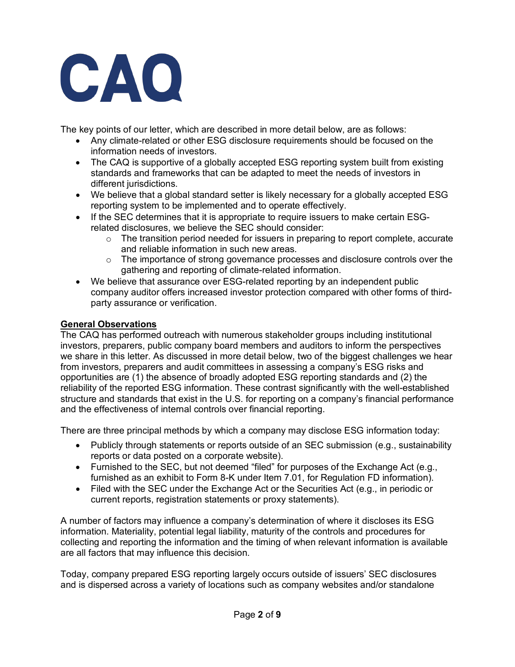

The key points of our letter, which are described in more detail below, are as follows:

- Any climate-related or other ESG disclosure requirements should be focused on the information needs of investors.
- The CAQ is supportive of a globally accepted ESG reporting system built from existing standards and frameworks that can be adapted to meet the needs of investors in different jurisdictions.
- We believe that a global standard setter is likely necessary for a globally accepted ESG reporting system to be implemented and to operate effectively.
- If the SEC determines that it is appropriate to require issuers to make certain ESGrelated disclosures, we believe the SEC should consider:
	- $\circ$  The transition period needed for issuers in preparing to report complete, accurate and reliable information in such new areas.
	- $\circ$  The importance of strong governance processes and disclosure controls over the gathering and reporting of climate-related information.
- We believe that assurance over ESG-related reporting by an independent public company auditor offers increased investor protection compared with other forms of thirdparty assurance or verification.

## **General Observations**

The CAQ has performed outreach with numerous stakeholder groups including institutional investors, preparers, public company board members and auditors to inform the perspectives we share in this letter. As discussed in more detail below, two of the biggest challenges we hear from investors, preparers and audit committees in assessing a company's ESG risks and opportunities are (1) the absence of broadly adopted ESG reporting standards and (2) the reliability of the reported ESG information. These contrast significantly with the well-established structure and standards that exist in the U.S. for reporting on a company's financial performance and the effectiveness of internal controls over financial reporting.

There are three principal methods by which a company may disclose ESG information today:

- Publicly through statements or reports outside of an SEC submission (e.g., sustainability reports or data posted on a corporate website).
- Furnished to the SEC, but not deemed "filed" for purposes of the Exchange Act (e.g., furnished as an exhibit to Form 8-K under Item 7.01, for Regulation FD information).
- Filed with the SEC under the Exchange Act or the Securities Act (e.g., in periodic or current reports, registration statements or proxy statements).

A number of factors may influence a company's determination of where it discloses its ESG information. Materiality, potential legal liability, maturity of the controls and procedures for collecting and reporting the information and the timing of when relevant information is available are all factors that may influence this decision.

Today, company prepared ESG reporting largely occurs outside of issuers' SEC disclosures and is dispersed across a variety of locations such as company websites and/or standalone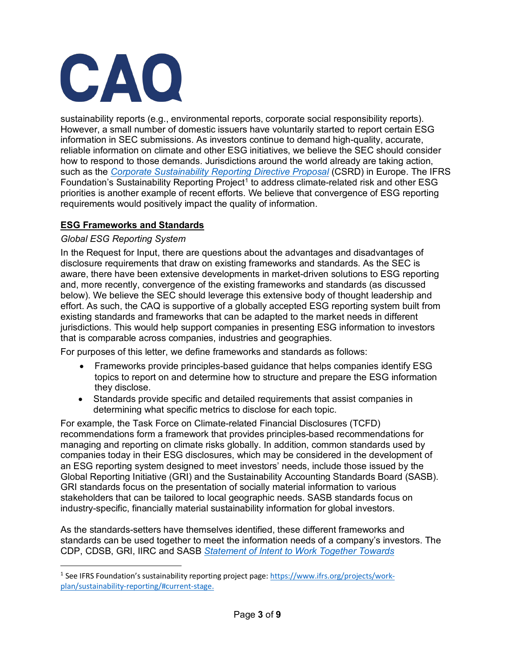

sustainability reports (e.g., environmental reports, corporate social responsibility reports). However, a small number of domestic issuers have voluntarily started to report certain ESG information in SEC submissions. As investors continue to demand high-quality, accurate, reliable information on climate and other ESG initiatives, we believe the SEC should consider how to respond to those demands. Jurisdictions around the world already are taking action, such as the *Corporate Sustainability Reporting Directive Proposal* (CSRD) in Europe. The IFRS Foundation's Sustainability Reporting Project<sup>1</sup> to address climate-related risk and other ESG priorities is another example of recent efforts. We believe that convergence of ESG reporting requirements would positively impact the quality of information.

# **ESG Frameworks and Standards**

## *Global ESG Reporting System*

In the Request for Input, there are questions about the advantages and disadvantages of disclosure requirements that draw on existing frameworks and standards. As the SEC is aware, there have been extensive developments in market-driven solutions to ESG reporting and, more recently, convergence of the existing frameworks and standards (as discussed below). We believe the SEC should leverage this extensive body of thought leadership and effort. As such, the CAQ is supportive of a globally accepted ESG reporting system built from existing standards and frameworks that can be adapted to the market needs in different jurisdictions. This would help support companies in presenting ESG information to investors that is comparable across companies, industries and geographies.

For purposes of this letter, we define frameworks and standards as follows:

- Frameworks provide principles-based guidance that helps companies identify ESG topics to report on and determine how to structure and prepare the ESG information they disclose.
- Standards provide specific and detailed requirements that assist companies in determining what specific metrics to disclose for each topic.

For example, the Task Force on Climate-related Financial Disclosures (TCFD) recommendations form a framework that provides principles-based recommendations for managing and reporting on climate risks globally. In addition, common standards used by companies today in their ESG disclosures, which may be considered in the development of an ESG reporting system designed to meet investors' needs, include those issued by the Global Reporting Initiative (GRI) and the Sustainability Accounting Standards Board (SASB). GRI standards focus on the presentation of socially material information to various stakeholders that can be tailored to local geographic needs. SASB standards focus on industry-specific, financially material sustainability information for global investors.

As the standards-setters have themselves identified, these different frameworks and standards can be used together to meet the information needs of a company's investors. The CDP, CDSB, GRI, IIRC and SASB *Statement of Intent to Work Together Towards* 

<sup>&</sup>lt;sup>1</sup> See IFRS Foundation's sustainability reporting project page: https://www.ifrs.org/projects/workplan/sustainability-reporting/#current-stage.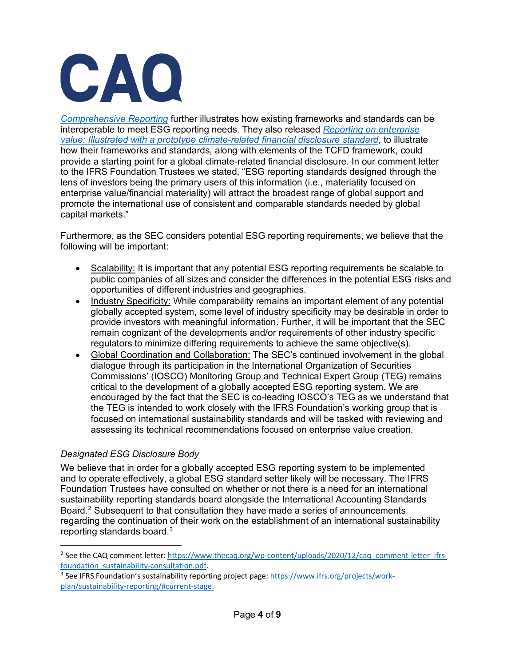

*Comprehensive Reporting* further illustrates how existing frameworks and standards can be interoperable to meet ESG reporting needs. They also released *Reporting on enterprise value: Illustrated with a prototype climate-related financial disclosure standard,* to illustrate how their frameworks and standards, along with elements of the TCFD framework, could provide a starting point for a global climate-related financial disclosure. In our comment letter to the IFRS Foundation Trustees we stated, "ESG reporting standards designed through the lens of investors being the primary users of this information (i.e., materiality focused on enterprise value/financial materiality) will attract the broadest range of global support and promote the international use of consistent and comparable standards needed by global capital markets."

Furthermore, as the SEC considers potential ESG reporting requirements, we believe that the following will be important:

- Scalability: It is important that any potential ESG reporting requirements be scalable to public companies of all sizes and consider the differences in the potential ESG risks and opportunities of different industries and geographies.
- Industry Specificity: While comparability remains an important element of any potential globally accepted system, some level of industry specificity may be desirable in order to provide investors with meaningful information. Further, it will be important that the SEC remain cognizant of the developments and/or requirements of other industry specific regulators to minimize differing requirements to achieve the same objective(s).
- Global Coordination and Collaboration: The SEC's continued involvement in the global dialogue through its participation in the International Organization of Securities Commissions' (IOSCO) Monitoring Group and Technical Expert Group (TEG) remains critical to the development of a globally accepted ESG reporting system. We are encouraged by the fact that the SEC is co-leading IOSCO's TEG as we understand that the TEG is intended to work closely with the IFRS Foundation's working group that is focused on international sustainability standards and will be tasked with reviewing and assessing its technical recommendations focused on enterprise value creation.

# *Designated ESG Disclosure Body*

We believe that in order for a globally accepted ESG reporting system to be implemented and to operate effectively, a global ESG standard setter likely will be necessary. The IFRS Foundation Trustees have consulted on whether or not there is a need for an international sustainability reporting standards board alongside the International Accounting Standards Board.<sup>2</sup> Subsequent to that consultation they have made a series of announcements regarding the continuation of their work on the establishment of an international sustainability reporting standards board. $^3$ 

<sup>&</sup>lt;sup>2</sup> See the CAQ comment letter: https://www.thecaq.org/wp-content/uploads/2020/12/caq comment-letter ifrsfoundation sustainability-consultation.pdf.<br><sup>3</sup> See IFRS Foundation's sustainability reporting project page: https://www.ifrs.org/projects/work-

plan/sustainability-reporting/#current-stage.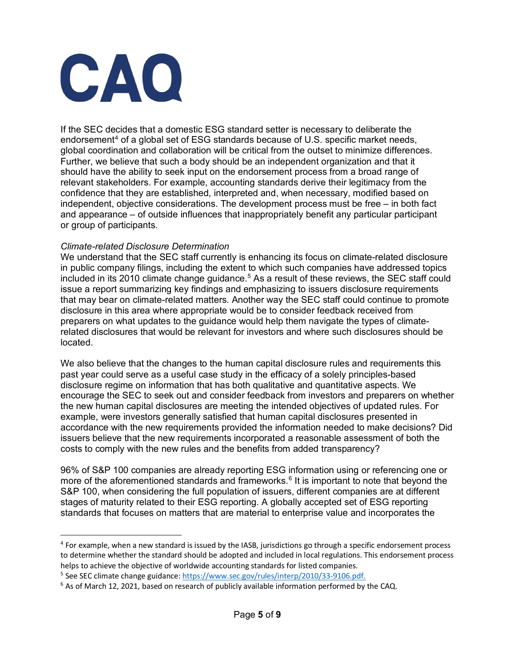

If the SEC decides that a domestic ESG standard setter is necessary to deliberate the endorsement<sup>4</sup> of a global set of ESG standards because of U.S. specific market needs, global coordination and collaboration will be critical from the outset to minimize differences. Further, we believe that such a body should be an independent organization and that it should have the ability to seek input on the endorsement process from a broad range of relevant stakeholders. For example, accounting standards derive their legitimacy from the confidence that they are established, interpreted and, when necessary, modified based on independent, objective considerations. The development process must be free – in both fact and appearance – of outside influences that inappropriately benefit any particular participant or group of participants.

### *Climate-related Disclosure Determination*

We understand that the SEC staff currently is enhancing its focus on climate-related disclosure in public company filings, including the extent to which such companies have addressed topics included in its 2010 climate change guidance.<sup>5</sup> As a result of these reviews, the SEC staff could issue a report summarizing key findings and emphasizing to issuers disclosure requirements that may bear on climate-related matters. Another way the SEC staff could continue to promote disclosure in this area where appropriate would be to consider feedback received from preparers on what updates to the guidance would help them navigate the types of climaterelated disclosures that would be relevant for investors and where such disclosures should be located.

We also believe that the changes to the human capital disclosure rules and requirements this past year could serve as a useful case study in the efficacy of a solely principles-based disclosure regime on information that has both qualitative and quantitative aspects. We encourage the SEC to seek out and consider feedback from investors and preparers on whether the new human capital disclosures are meeting the intended objectives of updated rules. For example, were investors generally satisfied that human capital disclosures presented in accordance with the new requirements provided the information needed to make decisions? Did issuers believe that the new requirements incorporated a reasonable assessment of both the costs to comply with the new rules and the benefits from added transparency?

96% of S&P 100 companies are already reporting ESG information using or referencing one or more of the aforementioned standards and frameworks. $6$  It is important to note that beyond the S&P 100, when considering the full population of issuers, different companies are at different stages of maturity related to their ESG reporting. A globally accepted set of ESG reporting standards that focuses on matters that are material to enterprise value and incorporates the

<sup>4</sup> For example, when a new standard is issued by the IASB, jurisdictions go through a specific endorsement process to determine whether the standard should be adopted and included in local regulations. This endorsement process helps to achieve the objective of worldwide accounting standards for listed companies.

<sup>&</sup>lt;sup>5</sup> See SEC climate change guidance:  $\frac{https://www.sec.gov/rules/interp/2010/33-9106.pdf.}{6}$  As of March 12, 2021, based on research of publicly available information performed by the CAQ.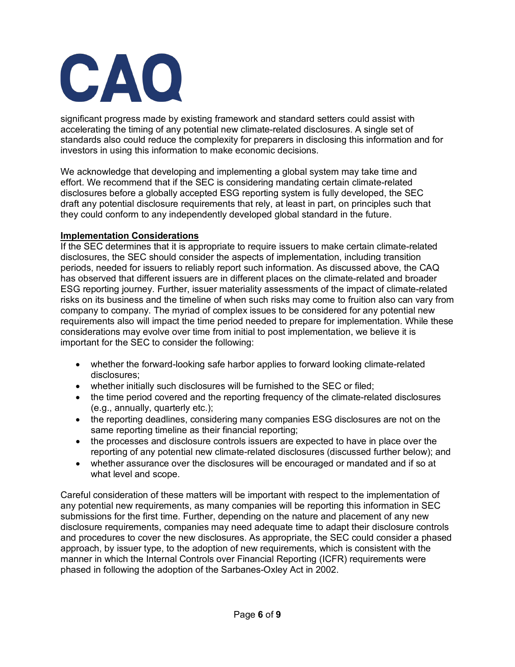

significant progress made by existing framework and standard setters could assist with accelerating the timing of any potential new climate-related disclosures. A single set of standards also could reduce the complexity for preparers in disclosing this information and for investors in using this information to make economic decisions.

We acknowledge that developing and implementing a global system may take time and effort. We recommend that if the SEC is considering mandating certain climate-related disclosures before a globally accepted ESG reporting system is fully developed, the SEC draft any potential disclosure requirements that rely, at least in part, on principles such that they could conform to any independently developed global standard in the future.

### **Implementation Considerations**

If the SEC determines that it is appropriate to require issuers to make certain climate-related disclosures, the SEC should consider the aspects of implementation, including transition periods, needed for issuers to reliably report such information. As discussed above, the CAQ has observed that different issuers are in different places on the climate-related and broader ESG reporting journey. Further, issuer materiality assessments of the impact of climate-related risks on its business and the timeline of when such risks may come to fruition also can vary from company to company. The myriad of complex issues to be considered for any potential new requirements also will impact the time period needed to prepare for implementation. While these considerations may evolve over time from initial to post implementation, we believe it is important for the SEC to consider the following:

- whether the forward-looking safe harbor applies to forward looking climate-related disclosures;
- whether initially such disclosures will be furnished to the SEC or filed;
- the time period covered and the reporting frequency of the climate-related disclosures (e.g., annually, quarterly etc.);
- the reporting deadlines, considering many companies ESG disclosures are not on the same reporting timeline as their financial reporting;
- the processes and disclosure controls issuers are expected to have in place over the reporting of any potential new climate-related disclosures (discussed further below); and
- whether assurance over the disclosures will be encouraged or mandated and if so at what level and scope.

Careful consideration of these matters will be important with respect to the implementation of any potential new requirements, as many companies will be reporting this information in SEC submissions for the first time. Further, depending on the nature and placement of any new disclosure requirements, companies may need adequate time to adapt their disclosure controls and procedures to cover the new disclosures. As appropriate, the SEC could consider a phased approach, by issuer type, to the adoption of new requirements, which is consistent with the manner in which the Internal Controls over Financial Reporting (ICFR) requirements were phased in following the adoption of the Sarbanes-Oxley Act in 2002.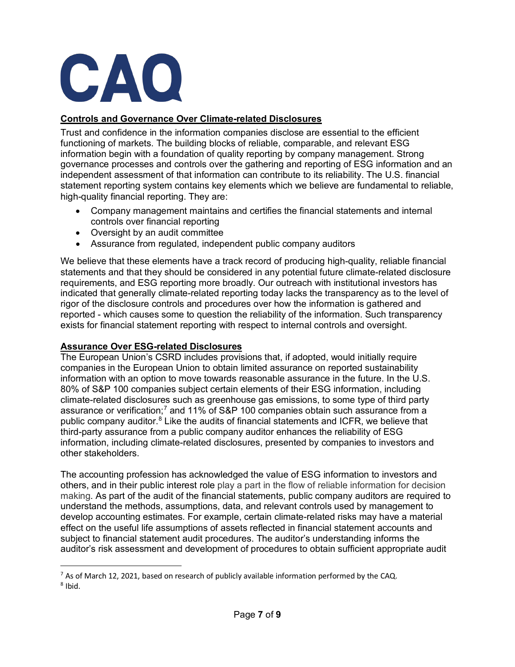

## **Controls and Governance Over Climate-related Disclosures**

Trust and confidence in the information companies disclose are essential to the efficient functioning of markets. The building blocks of reliable, comparable, and relevant ESG information begin with a foundation of quality reporting by company management. Strong governance processes and controls over the gathering and reporting of ESG information and an independent assessment of that information can contribute to its reliability. The U.S. financial statement reporting system contains key elements which we believe are fundamental to reliable, high-quality financial reporting. They are:

- Company management maintains and certifies the financial statements and internal controls over financial reporting
- Oversight by an audit committee
- Assurance from regulated, independent public company auditors

We believe that these elements have a track record of producing high-quality, reliable financial statements and that they should be considered in any potential future climate-related disclosure requirements, and ESG reporting more broadly. Our outreach with institutional investors has indicated that generally climate-related reporting today lacks the transparency as to the level of rigor of the disclosure controls and procedures over how the information is gathered and reported - which causes some to question the reliability of the information. Such transparency exists for financial statement reporting with respect to internal controls and oversight.

### **Assurance Over ESG-related Disclosures**

The European Union's CSRD includes provisions that, if adopted, would initially require companies in the European Union to obtain limited assurance on reported sustainability information with an option to move towards reasonable assurance in the future. In the U.S. 80% of S&P 100 companies subject certain elements of their ESG information, including climate-related disclosures such as greenhouse gas emissions, to some type of third party assurance or verification;7 and 11% of S&P 100 companies obtain such assurance from a public company auditor. $8$  Like the audits of financial statements and ICFR, we believe that third-party assurance from a public company auditor enhances the reliability of ESG information, including climate-related disclosures, presented by companies to investors and other stakeholders.

The accounting profession has acknowledged the value of ESG information to investors and others, and in their public interest role play a part in the flow of reliable information for decision making. As part of the audit of the financial statements, public company auditors are required to understand the methods, assumptions, data, and relevant controls used by management to develop accounting estimates. For example, certain climate-related risks may have a material effect on the useful life assumptions of assets reflected in financial statement accounts and subject to financial statement audit procedures. The auditor's understanding informs the auditor's risk assessment and development of procedures to obtain sufficient appropriate audit

 $7$  As of March 12, 2021, based on research of publicly available information performed by the CAQ.  $8$  Ibid.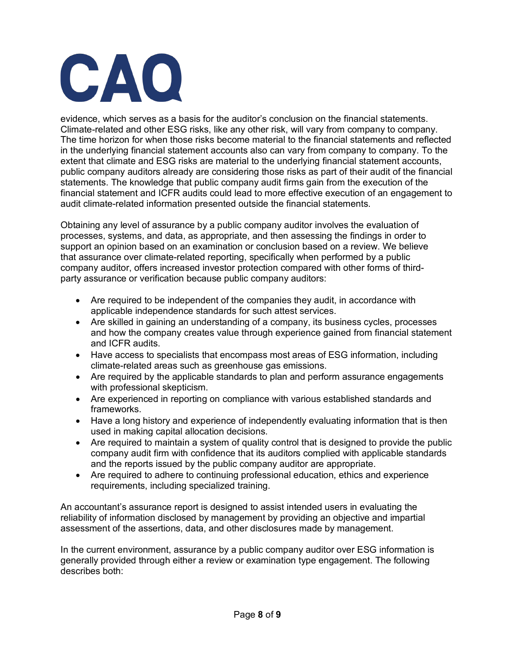

evidence, which serves as a basis for the auditor's conclusion on the financial statements. Climate-related and other ESG risks, like any other risk, will vary from company to company. The time horizon for when those risks become material to the financial statements and reflected in the underlying financial statement accounts also can vary from company to company. To the extent that climate and ESG risks are material to the underlying financial statement accounts, public company auditors already are considering those risks as part of their audit of the financial statements. The knowledge that public company audit firms gain from the execution of the financial statement and ICFR audits could lead to more effective execution of an engagement to audit climate-related information presented outside the financial statements.

Obtaining any level of assurance by a public company auditor involves the evaluation of processes, systems, and data, as appropriate, and then assessing the findings in order to support an opinion based on an examination or conclusion based on a review. We believe that assurance over climate-related reporting, specifically when performed by a public company auditor, offers increased investor protection compared with other forms of thirdparty assurance or verification because public company auditors:

- Are required to be independent of the companies they audit, in accordance with applicable independence standards for such attest services.
- Are skilled in gaining an understanding of a company, its business cycles, processes and how the company creates value through experience gained from financial statement and ICFR audits.
- Have access to specialists that encompass most areas of ESG information, including climate-related areas such as greenhouse gas emissions.
- Are required by the applicable standards to plan and perform assurance engagements with professional skepticism.
- Are experienced in reporting on compliance with various established standards and frameworks.
- Have a long history and experience of independently evaluating information that is then used in making capital allocation decisions.
- Are required to maintain a system of quality control that is designed to provide the public company audit firm with confidence that its auditors complied with applicable standards and the reports issued by the public company auditor are appropriate.
- Are required to adhere to continuing professional education, ethics and experience requirements, including specialized training.

An accountant's assurance report is designed to assist intended users in evaluating the reliability of information disclosed by management by providing an objective and impartial assessment of the assertions, data, and other disclosures made by management.

In the current environment, assurance by a public company auditor over ESG information is generally provided through either a review or examination type engagement. The following describes both: